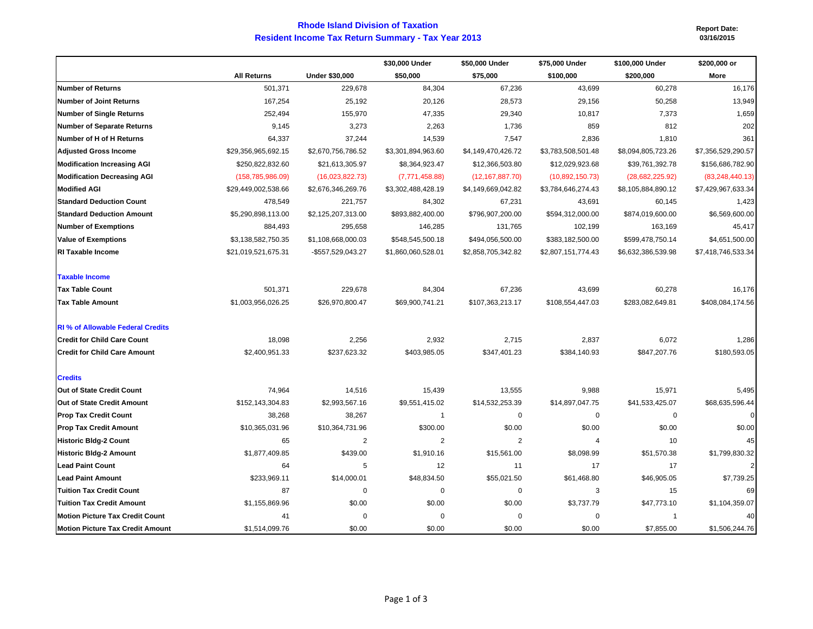## **Rhode Island Division of Taxation Resident Income Tax Return Summary - Tax Year 2013**

**Report Date: 03/16/2015**

|                                          |                     |                       | \$30,000 Under     | \$50,000 Under     | \$75,000 Under     | \$100,000 Under    | \$200,000 or       |
|------------------------------------------|---------------------|-----------------------|--------------------|--------------------|--------------------|--------------------|--------------------|
|                                          | <b>All Returns</b>  | <b>Under \$30,000</b> | \$50,000           | \$75,000           | \$100,000          | \$200,000          | More               |
| <b>Number of Returns</b>                 | 501,371             | 229,678               | 84,304             | 67,236             | 43,699             | 60,278             | 16,176             |
| <b>Number of Joint Returns</b>           | 167,254             | 25,192                | 20,126             | 28,573             | 29,156             | 50,258             | 13,949             |
| <b>Number of Single Returns</b>          | 252,494             | 155,970               | 47,335             | 29,340             | 10,817             | 7,373              | 1,659              |
| <b>Number of Separate Returns</b>        | 9,145               | 3,273                 | 2,263              | 1,736              | 859                | 812                | 202                |
| Number of H of H Returns                 | 64,337              | 37,244                | 14,539             | 7,547              | 2,836              | 1,810              | 361                |
| <b>Adjusted Gross Income</b>             | \$29,356,965,692.15 | \$2,670,756,786.52    | \$3,301,894,963.60 | \$4,149,470,426.72 | \$3,783,508,501.48 | \$8,094,805,723.26 | \$7,356,529,290.57 |
| <b>Modification Increasing AGI</b>       | \$250,822,832.60    | \$21,613,305.97       | \$8,364,923.47     | \$12,366,503.80    | \$12,029,923.68    | \$39,761,392.78    | \$156,686,782.90   |
| <b>Modification Decreasing AGI</b>       | (158, 785, 986.09)  | (16,023,822.73)       | (7,771,458.88)     | (12, 167, 887.70)  | (10,892,150.73)    | (28,682,225.92)    | (83, 248, 440.13)  |
| <b>Modified AGI</b>                      | \$29,449,002,538.66 | \$2,676,346,269.76    | \$3,302,488,428.19 | \$4,149,669,042.82 | \$3,784,646,274.43 | \$8,105,884,890.12 | \$7,429,967,633.34 |
| <b>Standard Deduction Count</b>          | 478,549             | 221,757               | 84,302             | 67,231             | 43,691             | 60,145             | 1,423              |
| <b>Standard Deduction Amount</b>         | \$5,290,898,113.00  | \$2,125,207,313.00    | \$893,882,400.00   | \$796,907,200.00   | \$594,312,000.00   | \$874,019,600.00   | \$6,569,600.00     |
| <b>Number of Exemptions</b>              | 884,493             | 295,658               | 146,285            | 131,765            | 102,199            | 163,169            | 45,417             |
| <b>Value of Exemptions</b>               | \$3,138,582,750.35  | \$1,108,668,000.03    | \$548,545,500.18   | \$494,056,500.00   | \$383,182,500.00   | \$599,478,750.14   | \$4,651,500.00     |
| <b>RI Taxable Income</b>                 | \$21,019,521,675.31 | -\$557,529,043.27     | \$1,860,060,528.01 | \$2,858,705,342.82 | \$2,807,151,774.43 | \$6,632,386,539.98 | \$7,418,746,533.34 |
| <b>Taxable Income</b>                    |                     |                       |                    |                    |                    |                    |                    |
| <b>Tax Table Count</b>                   | 501,371             | 229,678               | 84,304             | 67,236             | 43,699             | 60,278             | 16,176             |
| <b>Tax Table Amount</b>                  | \$1,003,956,026.25  | \$26,970,800.47       | \$69,900,741.21    | \$107,363,213.17   | \$108,554,447.03   | \$283,082,649.81   | \$408,084,174.56   |
| <b>RI</b> % of Allowable Federal Credits |                     |                       |                    |                    |                    |                    |                    |
| <b>Credit for Child Care Count</b>       | 18,098              | 2,256                 | 2,932              | 2,715              | 2,837              | 6,072              | 1,286              |
| <b>Credit for Child Care Amount</b>      | \$2,400,951.33      | \$237,623.32          | \$403,985.05       | \$347,401.23       | \$384,140.93       | \$847,207.76       | \$180,593.05       |
| <b>Credits</b>                           |                     |                       |                    |                    |                    |                    |                    |
| Out of State Credit Count                | 74,964              | 14,516                | 15,439             | 13,555             | 9,988              | 15,971             | 5,495              |
| Out of State Credit Amount               | \$152,143,304.83    | \$2,993,567.16        | \$9,551,415.02     | \$14,532,253.39    | \$14,897,047.75    | \$41,533,425.07    | \$68,635,596.44    |
| <b>Prop Tax Credit Count</b>             | 38,268              | 38,267                | $\mathbf{1}$       | $\mathbf 0$        | $\mathbf 0$        | $\mathbf 0$        | $\mathbf{0}$       |
| <b>Prop Tax Credit Amount</b>            | \$10,365,031.96     | \$10,364,731.96       | \$300.00           | \$0.00             | \$0.00             | \$0.00             | \$0.00             |
| <b>Historic Bldg-2 Count</b>             | 65                  | 2                     | $\overline{2}$     | $\overline{2}$     | 4                  | 10                 | 45                 |
| <b>Historic Bldg-2 Amount</b>            | \$1,877,409.85      | \$439.00              | \$1,910.16         | \$15,561.00        | \$8,098.99         | \$51,570.38        | \$1,799,830.32     |
| <b>Lead Paint Count</b>                  | 64                  | 5                     | 12                 | 11                 | 17                 | 17                 | $\overline{2}$     |
| <b>Lead Paint Amount</b>                 | \$233,969.11        | \$14,000.01           | \$48,834.50        | \$55,021.50        | \$61,468.80        | \$46,905.05        | \$7,739.25         |
| <b>Tuition Tax Credit Count</b>          | 87                  | $\mathbf 0$           | 0                  | $\mathbf 0$        | 3                  | 15                 | 69                 |
| <b>Tuition Tax Credit Amount</b>         | \$1,155,869.96      | \$0.00                | \$0.00             | \$0.00             | \$3,737.79         | \$47,773.10        | \$1,104,359.07     |
| <b>Motion Picture Tax Credit Count</b>   | 41                  | $\overline{0}$        | $\mathbf 0$        | $\mathbf 0$        | $\mathbf 0$        | $\overline{1}$     | 40                 |
| <b>Motion Picture Tax Credit Amount</b>  | \$1,514,099.76      | \$0.00                | \$0.00             | \$0.00             | \$0.00             | \$7,855.00         | \$1,506,244.76     |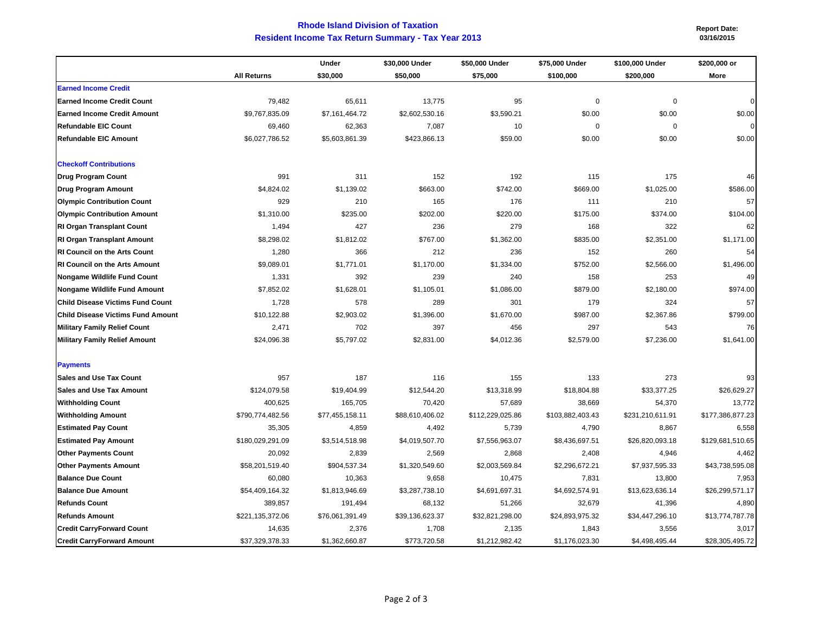## **Rhode Island Division of TaxationResident Income Tax Return Summary - Tax Year 2013 03/16/2015**

**Report Date:** 

|                                          |                    | Under           | \$30,000 Under  | \$50,000 Under   | \$75,000 Under   | \$100,000 Under  | \$200,000 or     |
|------------------------------------------|--------------------|-----------------|-----------------|------------------|------------------|------------------|------------------|
|                                          | <b>All Returns</b> | \$30,000        | \$50,000        | \$75,000         | \$100,000        | \$200,000        | More             |
| <b>Earned Income Credit</b>              |                    |                 |                 |                  |                  |                  |                  |
| <b>Earned Income Credit Count</b>        | 79,482             | 65,611          | 13,775          | 95               | $\mathbf 0$      | $\mathbf 0$      | $\mathbf 0$      |
| <b>Earned Income Credit Amount</b>       | \$9,767,835.09     | \$7,161,464.72  | \$2,602,530.16  | \$3,590.21       | \$0.00           | \$0.00           | \$0.00           |
| Refundable EIC Count                     | 69,460             | 62,363          | 7,087           | 10               | $\mathbf 0$      | $\mathbf 0$      | $\Omega$         |
| Refundable EIC Amount                    | \$6,027,786.52     | \$5,603,861.39  | \$423,866.13    | \$59.00          | \$0.00           | \$0.00           | \$0.00           |
| <b>Checkoff Contributions</b>            |                    |                 |                 |                  |                  |                  |                  |
| <b>Drug Program Count</b>                | 991                | 311             | 152             | 192              | 115              | 175              | 46               |
| <b>Drug Program Amount</b>               | \$4,824.02         | \$1,139.02      | \$663.00        | \$742.00         | \$669.00         | \$1,025.00       | \$586.00         |
| <b>Olympic Contribution Count</b>        | 929                | 210             | 165             | 176              | 111              | 210              | 57               |
| <b>Olympic Contribution Amount</b>       | \$1,310.00         | \$235.00        | \$202.00        | \$220.00         | \$175.00         | \$374.00         | \$104.00         |
| <b>RI Organ Transplant Count</b>         | 1,494              | 427             | 236             | 279              | 168              | 322              | 62               |
| <b>RI Organ Transplant Amount</b>        | \$8,298.02         | \$1,812.02      | \$767.00        | \$1,362.00       | \$835.00         | \$2,351.00       | \$1,171.00       |
| <b>RI Council on the Arts Count</b>      | 1,280              | 366             | 212             | 236              | 152              | 260              | 54               |
| RI Council on the Arts Amount            | \$9,089.01         | \$1,771.01      | \$1,170.00      | \$1,334.00       | \$752.00         | \$2,566.00       | \$1,496.00       |
| Nongame Wildlife Fund Count              | 1,331              | 392             | 239             | 240              | 158              | 253              | 49               |
| Nongame Wildlife Fund Amount             | \$7,852.02         | \$1,628.01      | \$1,105.01      | \$1,086.00       | \$879.00         | \$2,180.00       | \$974.00         |
| <b>Child Disease Victims Fund Count</b>  | 1,728              | 578             | 289             | 301              | 179              | 324              | 57               |
| <b>Child Disease Victims Fund Amount</b> | \$10,122.88        | \$2,903.02      | \$1,396.00      | \$1,670.00       | \$987.00         | \$2,367.86       | \$799.00         |
| <b>Military Family Relief Count</b>      | 2,471              | 702             | 397             | 456              | 297              | 543              | 76               |
| <b>Military Family Relief Amount</b>     | \$24,096.38        | \$5,797.02      | \$2,831.00      | \$4,012.36       | \$2,579.00       | \$7,236.00       | \$1,641.00       |
| <b>Payments</b>                          |                    |                 |                 |                  |                  |                  |                  |
| <b>Sales and Use Tax Count</b>           | 957                | 187             | 116             | 155              | 133              | 273              | 93               |
| <b>Sales and Use Tax Amount</b>          | \$124,079.58       | \$19,404.99     | \$12,544.20     | \$13,318.99      | \$18,804.88      | \$33,377.25      | \$26,629.27      |
| <b>Withholding Count</b>                 | 400,625            | 165,705         | 70,420          | 57,689           | 38,669           | 54,370           | 13,772           |
| <b>Withholding Amount</b>                | \$790,774,482.56   | \$77,455,158.11 | \$88,610,406.02 | \$112,229,025.86 | \$103,882,403.43 | \$231,210,611.91 | \$177,386,877.23 |
| <b>Estimated Pay Count</b>               | 35,305             | 4,859           | 4,492           | 5,739            | 4,790            | 8,867            | 6,558            |
| <b>Estimated Pay Amount</b>              | \$180,029,291.09   | \$3,514,518.98  | \$4,019,507.70  | \$7,556,963.07   | \$8,436,697.51   | \$26,820,093.18  | \$129,681,510.65 |
| <b>Other Payments Count</b>              | 20,092             | 2,839           | 2,569           | 2,868            | 2,408            | 4,946            | 4,462            |
| <b>Other Payments Amount</b>             | \$58,201,519.40    | \$904,537.34    | \$1,320,549.60  | \$2,003,569.84   | \$2,296,672.21   | \$7,937,595.33   | \$43,738,595.08  |
| <b>Balance Due Count</b>                 | 60,080             | 10,363          | 9,658           | 10,475           | 7,831            | 13,800           | 7,953            |
| <b>Balance Due Amount</b>                | \$54,409,164.32    | \$1,813,946.69  | \$3,287,738.10  | \$4,691,697.31   | \$4,692,574.91   | \$13,623,636.14  | \$26,299,571.17  |
| <b>Refunds Count</b>                     | 389,857            | 191,494         | 68,132          | 51,266           | 32,679           | 41,396           | 4,890            |
| <b>Refunds Amount</b>                    | \$221,135,372.06   | \$76,061,391.49 | \$39,136,623.37 | \$32,821,298.00  | \$24,893,975.32  | \$34,447,296.10  | \$13,774,787.78  |
| <b>Credit CarryForward Count</b>         | 14,635             | 2,376           | 1,708           | 2,135            | 1,843            | 3,556            | 3,017            |
| <b>Credit CarryForward Amount</b>        | \$37,329,378.33    | \$1,362,660.87  | \$773,720.58    | \$1,212,982.42   | \$1,176,023.30   | \$4,498,495.44   | \$28,305,495.72  |